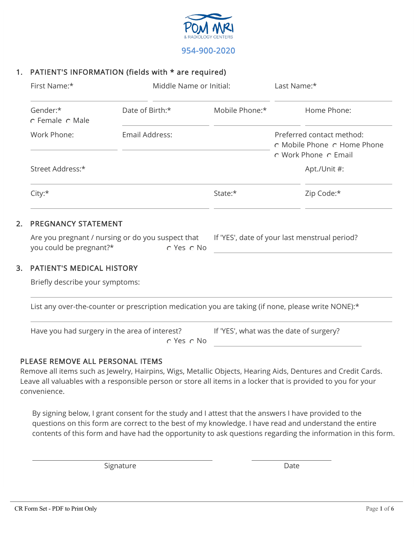

### 1. PATIENT'S INFORMATION (fields with \* are required)

|    | First Name:*                                                                                       | Middle Name or Initial:                                                               | Last Name:*    |  |                                                                                  |  |  |  |
|----|----------------------------------------------------------------------------------------------------|---------------------------------------------------------------------------------------|----------------|--|----------------------------------------------------------------------------------|--|--|--|
|    | Gender:*<br>o Female o Male                                                                        | Date of Birth:*                                                                       | Mobile Phone:* |  | Home Phone:                                                                      |  |  |  |
|    | Work Phone:                                                                                        | Email Address:                                                                        |                |  | Preferred contact method:<br>o Mobile Phone o Home Phone<br>c Work Phone c Email |  |  |  |
|    | Street Address:*                                                                                   |                                                                                       |                |  | Apt./Unit #:                                                                     |  |  |  |
|    | City:*                                                                                             |                                                                                       | State:*        |  | Zip Code:*                                                                       |  |  |  |
| 2. | <b>PREGNANCY STATEMENT</b>                                                                         |                                                                                       |                |  |                                                                                  |  |  |  |
|    | Are you pregnant / nursing or do you suspect that<br>you could be pregnant?*                       | If 'YES', date of your last menstrual period?                                         |                |  |                                                                                  |  |  |  |
| 3. | <b>PATIENT'S MEDICAL HISTORY</b>                                                                   |                                                                                       |                |  |                                                                                  |  |  |  |
|    | Briefly describe your symptoms:                                                                    |                                                                                       |                |  |                                                                                  |  |  |  |
|    | List any over-the-counter or prescription medication you are taking (if none, please write NONE):* |                                                                                       |                |  |                                                                                  |  |  |  |
|    |                                                                                                    | Have you had surgery in the area of interest? If 'YES', what was the date of surgery? |                |  |                                                                                  |  |  |  |
|    |                                                                                                    |                                                                                       |                |  |                                                                                  |  |  |  |

### PLEASE REMOVE ALL PERSONAL ITEMS

Remove all items such as Jewelry, Hairpins, Wigs, Metallic Objects, Hearing Aids, Dentures and Credit Cards. Leave all valuables with a responsible person or store all items in a locker that is provided to you for your convenience.

By signing below, I grant consent for the study and I attest that the answers I have provided to the questions on this form are correct to the best of my knowledge. I have read and understand the entire contents of this form and have had the opportunity to ask questions regarding the information in this form.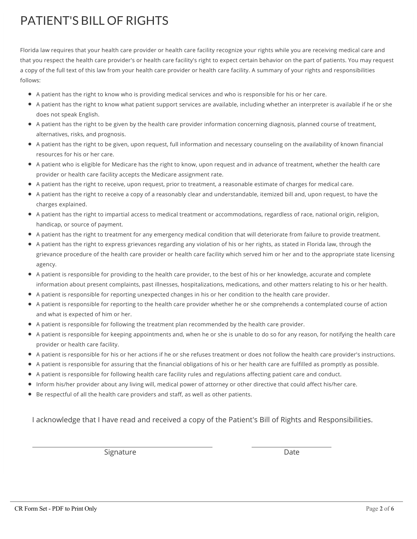# PATIENT'S BILL OF RIGHTS

Florida law requires that your health care provider or health care facility recognize your rights while you are receiving medical care and that you respect the health care provider's or health care facility's right to expect certain behavior on the part of patients. You may request a copy of the full text of this law from your health care provider or health care facility. A summary of your rights and responsibilities follows:

- A patient has the right to know who is providing medical services and who is responsible for his or her care.
- A patient has the right to know what patient support services are available, including whether an interpreter is available if he or she does not speak English.
- A patient has the right to be given by the health care provider information concerning diagnosis, planned course of treatment, alternatives, risks, and prognosis.
- A patient has the right to be given, upon request, full information and necessary counseling on the availability of known financial resources for his or her care.
- A patient who is eligible for Medicare has the right to know, upon request and in advance of treatment, whether the health care provider or health care facility accepts the Medicare assignment rate.
- A patient has the right to receive, upon request, prior to treatment, a reasonable estimate of charges for medical care.
- A patient has the right to receive a copy of a reasonably clear and understandable, itemized bill and, upon request, to have the charges explained.
- A patient has the right to impartial access to medical treatment or accommodations, regardless of race, national origin, religion, handicap, or source of payment.
- A patient has the right to treatment for any emergency medical condition that will deteriorate from failure to provide treatment.
- A patient has the right to express grievances regarding any violation of his or her rights, as stated in Florida law, through the grievance procedure of the health care provider or health care facility which served him or her and to the appropriate state licensing agency.
- A patient is responsible for providing to the health care provider, to the best of his or her knowledge, accurate and complete information about present complaints, past illnesses, hospitalizations, medications, and other matters relating to his or her health.
- A patient is responsible for reporting unexpected changes in his or her condition to the health care provider.
- A patient is responsible for reporting to the health care provider whether he or she comprehends a contemplated course of action and what is expected of him or her.
- A patient is responsible for following the treatment plan recommended by the health care provider.
- A patient is responsible for keeping appointments and, when he or she is unable to do so for any reason, for notifying the health care provider or health care facility.
- A patient is responsible for his or her actions if he or she refuses treatment or does not follow the health care provider's instructions.
- A patient is responsible for assuring that the financial obligations of his or her health care are fulfilled as promptly as possible.
- A patient is responsible for following health care facility rules and regulations affecting patient care and conduct.
- Inform his/her provider about any living will, medical power of attorney or other directive that could affect his/her care.
- $\bullet$  Be respectful of all the health care providers and staff, as well as other patients.

I acknowledge that I have read and received a copy of the Patient's Bill of Rights and Responsibilities.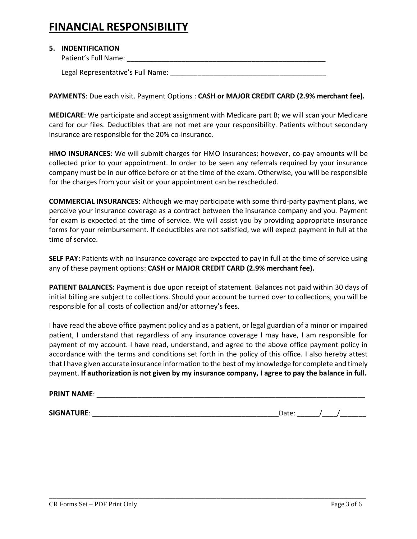## **FINANCIAL RESPONSIBILITY**

#### **5. INDENTIFICATION**

Patient's Full Name: \_\_\_\_\_\_\_\_\_\_\_\_\_\_\_\_\_\_\_\_\_\_\_\_\_\_\_\_\_\_\_\_\_\_\_\_\_\_\_\_\_\_\_\_\_\_\_\_\_\_\_

Legal Representative's Full Name: **Legal Representative's** 

**PAYMENTS**: Due each visit. Payment Options : **CASH or MAJOR CREDIT CARD (2.9% merchant fee).**

**MEDICARE**: We participate and accept assignment with Medicare part B; we will scan your Medicare card for our files. Deductibles that are not met are your responsibility. Patients without secondary insurance are responsible for the 20% co-insurance.

**HMO INSURANCES**: We will submit charges for HMO insurances; however, co-pay amounts will be collected prior to your appointment. In order to be seen any referrals required by your insurance company must be in our office before or at the time of the exam. Otherwise, you will be responsible for the charges from your visit or your appointment can be rescheduled.

**COMMERCIAL INSURANCES:** Although we may participate with some third-party payment plans, we perceive your insurance coverage as a contract between the insurance company and you. Payment for exam is expected at the time of service. We will assist you by providing appropriate insurance forms for your reimbursement. If deductibles are not satisfied, we will expect payment in full at the time of service.

**SELF PAY:** Patients with no insurance coverage are expected to pay in full at the time of service using any of these payment options: **CASH or MAJOR CREDIT CARD (2.9% merchant fee).**

**PATIENT BALANCES:** Payment is due upon receipt of statement. Balances not paid within 30 days of initial billing are subject to collections. Should your account be turned over to collections, you will be responsible for all costs of collection and/or attorney's fees.

I have read the above office payment policy and as a patient, or legal guardian of a minor or impaired patient, I understand that regardless of any insurance coverage I may have, I am responsible for payment of my account. I have read, understand, and agree to the above office payment policy in accordance with the terms and conditions set forth in the policy of this office. I also hereby attest that I have given accurate insurance information to the best of my knowledge for complete and timely payment. **If authorization is not given by my insurance company, I agree to pay the balance in full.**

\_\_\_\_\_\_\_\_\_\_\_\_\_\_\_\_\_\_\_\_\_\_\_\_\_\_\_\_\_\_\_\_\_\_\_\_\_\_\_\_\_\_\_\_\_\_\_\_\_\_\_\_\_\_\_\_\_\_\_\_\_\_\_\_\_\_\_\_\_\_\_\_\_\_\_\_\_\_\_\_\_\_\_\_\_

#### **PRINT NAME:**  $\blacksquare$

**SIGNATURE**: \_\_\_\_\_\_\_\_\_\_\_\_\_\_\_\_\_\_\_\_\_\_\_\_\_\_\_\_\_\_\_\_\_\_\_\_\_\_\_\_\_\_\_\_\_\_\_\_\_\_Date: \_\_\_\_\_\_/\_\_\_\_/\_\_\_\_\_\_\_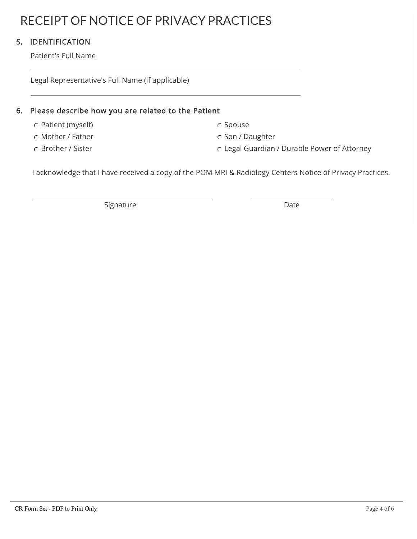# RECEIPT OF NOTICE OF PRIVACY PRACTICES

### 5. IDENTIFICATION

Patient's Full Name

Legal Representative's Full Name (if applicable)

### 6. Please describe how you are related to the Patient

- C Patient (myself) Spouse C Spouse
- C Mother / Father Son / Daughter C Son / Daughter
- 

- 
- C Brother / Sister Legal Guardian / Durable Power of Attorney

I acknowledge that I have received a copy of the POM MRI & Radiology Centers Notice of Privacy Practices.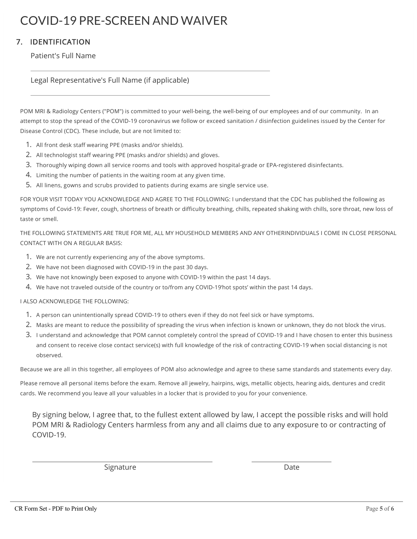# COVID-19 PRE-SCREEN AND WAIVER

### 7. IDENTIFICATION

Patient's Full Name

Legal Representative's Full Name (if applicable)

POM MRI & Radiology Centers ("POM") is committed to your well-being, the well-being of our employees and of our community. In an attempt to stop the spread of the COVID-19 coronavirus we follow or exceed sanitation / disinfection guidelines issued by the Center for Disease Control (CDC). These include, but are not limited to:

- 1. All front desk staff wearing PPE (masks and/or shields).
- 2. All technologist staff wearing PPE (masks and/or shields) and gloves.
- 3. Thoroughly wiping down all service rooms and tools with approved hospital-grade or EPA-registered disinfectants.
- 4. Limiting the number of patients in the waiting room at any given time.
- 5. All linens, gowns and scrubs provided to patients during exams are single service use.

FOR YOUR VISIT TODAY YOU ACKNOWLEDGE AND AGREE TO THE FOLLOWING: I understand that the CDC has published the following as symptoms of Covid-19: Fever, cough, shortness of breath or difficulty breathing, chills, repeated shaking with chills, sore throat, new loss of taste or smell.

THE FOLLOWING STATEMENTS ARE TRUE FOR ME, ALL MY HOUSEHOLD MEMBERS AND ANY OTHERINDIVIDUALS I COME IN CLOSE PERSONAL CONTACT WITH ON A REGULAR BASIS:

- 1. We are not currently experiencing any of the above symptoms.
- 2. We have not been diagnosed with COVID-19 in the past 30 days.
- 3. We have not knowingly been exposed to anyone with COVID-19 within the past 14 days.
- 4. We have not traveled outside of the country or to/from any COVID-19'hot spots' within the past 14 days.

#### I ALSO ACKNOWLEDGE THE FOLLOWING:

- 1. A person can unintentionally spread COVID-19 to others even if they do not feel sick or have symptoms.
- 2. Masks are meant to reduce the possibility of spreading the virus when infection is known or unknown, they do not block the virus.
- 3. I understand and acknowledge that POM cannot completely control the spread of COVID-19 and I have chosen to enter this business and consent to receive close contact service(s) with full knowledge of the risk of contracting COVID-19 when social distancing is not observed.

Because we are all in this together, all employees of POM also acknowledge and agree to these same standards and statements every day.

Please remove all personal items before the exam. Remove all jewelry, hairpins, wigs, metallic objects, hearing aids, dentures and credit cards. We recommend you leave all your valuables in a locker that is provided to you for your convenience.

By signing below, I agree that, to the fullest extent allowed by law, I accept the possible risks and will hold POM MRI & Radiology Centers harmless from any and all claims due to any exposure to or contracting of COVID-19.